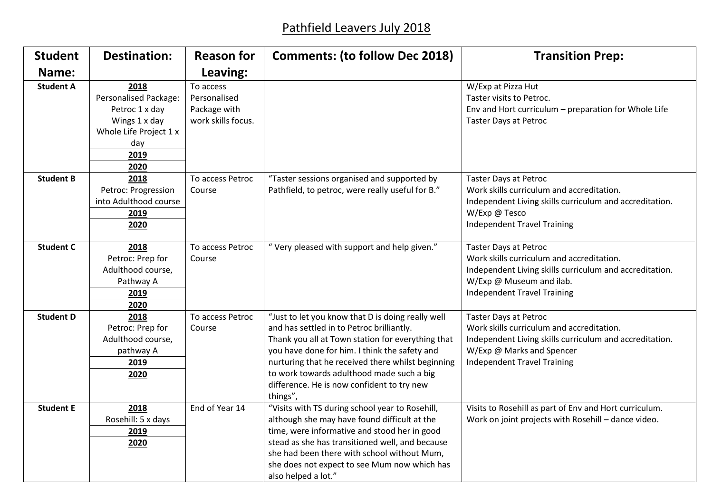## Pathfield Leavers July 2018

| <b>Student</b>   | <b>Destination:</b>                                                                                                      | <b>Reason for</b>                                               | <b>Comments: (to follow Dec 2018)</b>                                                                                                                                                                                                                                                                                                                            | <b>Transition Prep:</b>                                                                                                                                                                                 |
|------------------|--------------------------------------------------------------------------------------------------------------------------|-----------------------------------------------------------------|------------------------------------------------------------------------------------------------------------------------------------------------------------------------------------------------------------------------------------------------------------------------------------------------------------------------------------------------------------------|---------------------------------------------------------------------------------------------------------------------------------------------------------------------------------------------------------|
| Name:            |                                                                                                                          | Leaving:                                                        |                                                                                                                                                                                                                                                                                                                                                                  |                                                                                                                                                                                                         |
| <b>Student A</b> | 2018<br><b>Personalised Package:</b><br>Petroc 1 x day<br>Wings 1 x day<br>Whole Life Project 1 x<br>day<br>2019<br>2020 | To access<br>Personalised<br>Package with<br>work skills focus. |                                                                                                                                                                                                                                                                                                                                                                  | W/Exp at Pizza Hut<br>Taster visits to Petroc.<br>Env and Hort curriculum - preparation for Whole Life<br><b>Taster Days at Petroc</b>                                                                  |
| <b>Student B</b> | 2018<br>Petroc: Progression<br>into Adulthood course<br>2019<br>2020                                                     | To access Petroc<br>Course                                      | "Taster sessions organised and supported by<br>Pathfield, to petroc, were really useful for B."                                                                                                                                                                                                                                                                  | <b>Taster Days at Petroc</b><br>Work skills curriculum and accreditation.<br>Independent Living skills curriculum and accreditation.<br>W/Exp @ Tesco<br><b>Independent Travel Training</b>             |
| <b>Student C</b> | 2018<br>Petroc: Prep for<br>Adulthood course,<br>Pathway A<br>2019<br>2020                                               | To access Petroc<br>Course                                      | "Very pleased with support and help given."                                                                                                                                                                                                                                                                                                                      | <b>Taster Days at Petroc</b><br>Work skills curriculum and accreditation.<br>Independent Living skills curriculum and accreditation.<br>W/Exp @ Museum and ilab.<br><b>Independent Travel Training</b>  |
| <b>Student D</b> | 2018<br>Petroc: Prep for<br>Adulthood course,<br>pathway A<br>2019<br>2020                                               | To access Petroc<br>Course                                      | "Just to let you know that D is doing really well<br>and has settled in to Petroc brilliantly.<br>Thank you all at Town station for everything that<br>you have done for him. I think the safety and<br>nurturing that he received there whilst beginning<br>to work towards adulthood made such a big<br>difference. He is now confident to try new<br>things", | <b>Taster Days at Petroc</b><br>Work skills curriculum and accreditation.<br>Independent Living skills curriculum and accreditation.<br>W/Exp @ Marks and Spencer<br><b>Independent Travel Training</b> |
| <b>Student E</b> | 2018<br>Rosehill: 5 x days<br>2019<br>2020                                                                               | End of Year 14                                                  | "Visits with TS during school year to Rosehill,<br>although she may have found difficult at the<br>time, were informative and stood her in good<br>stead as she has transitioned well, and because<br>she had been there with school without Mum,<br>she does not expect to see Mum now which has<br>also helped a lot."                                         | Visits to Rosehill as part of Env and Hort curriculum.<br>Work on joint projects with Rosehill - dance video.                                                                                           |